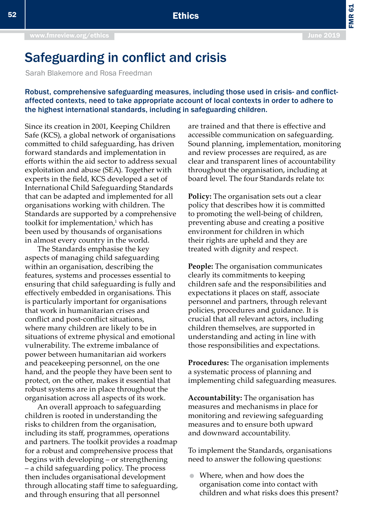FMR 61

# Safeguarding in conflict and crisis

Sarah Blakemore and Rosa Freedman

Robust, comprehensive safeguarding measures, including those used in crisis- and conflictaffected contexts, need to take appropriate account of local contexts in order to adhere to the highest international standards, including in safeguarding children.

Since its creation in 2001, Keeping Children Safe (KCS), a global network of organisations committed to child safeguarding, has driven forward standards and implementation in efforts within the aid sector to address sexual exploitation and abuse (SEA). Together with experts in the field, KCS developed a set of International Child Safeguarding Standards that can be adapted and implemented for all organisations working with children. The Standards are supported by a comprehensive toolkit for implementation,<sup>1</sup> which has been used by thousands of organisations in almost every country in the world.

The Standards emphasise the key aspects of managing child safeguarding within an organisation, describing the features, systems and processes essential to ensuring that child safeguarding is fully and effectively embedded in organisations. This is particularly important for organisations that work in humanitarian crises and conflict and post-conflict situations, where many children are likely to be in situations of extreme physical and emotional vulnerability. The extreme imbalance of power between humanitarian aid workers and peacekeeping personnel, on the one hand, and the people they have been sent to protect, on the other, makes it essential that robust systems are in place throughout the organisation across all aspects of its work.

An overall approach to safeguarding children is rooted in understanding the risks to children from the organisation, including its staff, programmes, operations and partners. The toolkit provides a roadmap for a robust and comprehensive process that begins with developing – or strengthening – a child safeguarding policy. The process then includes organisational development through allocating staff time to safeguarding, and through ensuring that all personnel

are trained and that there is effective and accessible communication on safeguarding. Sound planning, implementation, monitoring and review processes are required, as are clear and transparent lines of accountability throughout the organisation, including at board level. The four Standards relate to:

**Policy:** The organisation sets out a clear policy that describes how it is committed to promoting the well-being of children, preventing abuse and creating a positive environment for children in which their rights are upheld and they are treated with dignity and respect.

**People:** The organisation communicates clearly its commitments to keeping children safe and the responsibilities and expectations it places on staff, associate personnel and partners, through relevant policies, procedures and guidance. It is crucial that all relevant actors, including children themselves, are supported in understanding and acting in line with those responsibilities and expectations.

**Procedures:** The organisation implements a systematic process of planning and implementing child safeguarding measures.

**Accountability:** The organisation has measures and mechanisms in place for monitoring and reviewing safeguarding measures and to ensure both upward and downward accountability.

To implement the Standards, organisations need to answer the following questions:

 Where, when and how does the organisation come into contact with children and what risks does this present?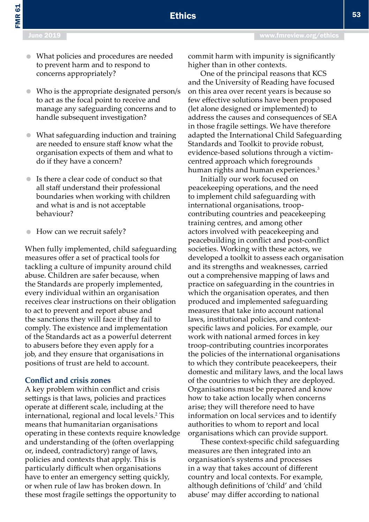FMR 61

- What policies and procedures are needed to prevent harm and to respond to concerns appropriately?
- Who is the appropriate designated person/s to act as the focal point to receive and manage any safeguarding concerns and to handle subsequent investigation?
- What safeguarding induction and training are needed to ensure staff know what the organisation expects of them and what to do if they have a concern?
- Is there a clear code of conduct so that all staff understand their professional boundaries when working with children and what is and is not acceptable behaviour?
- **How can we recruit safely?**

When fully implemented, child safeguarding measures offer a set of practical tools for tackling a culture of impunity around child abuse. Children are safer because, when the Standards are properly implemented, every individual within an organisation receives clear instructions on their obligation to act to prevent and report abuse and the sanctions they will face if they fail to comply. The existence and implementation of the Standards act as a powerful deterrent to abusers before they even apply for a job, and they ensure that organisations in positions of trust are held to account.

### **Conflict and crisis zones**

A key problem within conflict and crisis settings is that laws, policies and practices operate at different scale, including at the international, regional and local levels.<sup>2</sup> This means that humanitarian organisations operating in these contexts require knowledge and understanding of the (often overlapping or, indeed, contradictory) range of laws, policies and contexts that apply. This is particularly difficult when organisations have to enter an emergency setting quickly, or when rule of law has broken down. In these most fragile settings the opportunity to

commit harm with impunity is significantly higher than in other contexts.

Ethics

One of the principal reasons that KCS and the University of Reading have focused on this area over recent years is because so few effective solutions have been proposed (let alone designed or implemented) to address the causes and consequences of SEA in those fragile settings. We have therefore adapted the International Child Safeguarding Standards and Toolkit to provide robust, evidence-based solutions through a victimcentred approach which foregrounds human rights and human experiences.<sup>3</sup>

Initially our work focused on peacekeeping operations, and the need to implement child safeguarding with international organisations, troopcontributing countries and peacekeeping training centres, and among other actors involved with peacekeeping and peacebuilding in conflict and post-conflict societies. Working with these actors, we developed a toolkit to assess each organisation and its strengths and weaknesses, carried out a comprehensive mapping of laws and practice on safeguarding in the countries in which the organisation operates, and then produced and implemented safeguarding measures that take into account national laws, institutional policies, and contextspecific laws and policies. For example, our work with national armed forces in key troop-contributing countries incorporates the policies of the international organisations to which they contribute peacekeepers, their domestic and military laws, and the local laws of the countries to which they are deployed. Organisations must be prepared and know how to take action locally when concerns arise; they will therefore need to have information on local services and to identify authorities to whom to report and local organisations which can provide support.

These context-specific child safeguarding measures are then integrated into an organisation's systems and processes in a way that takes account of different country and local contexts. For example, although definitions of 'child' and 'child abuse' may differ according to national